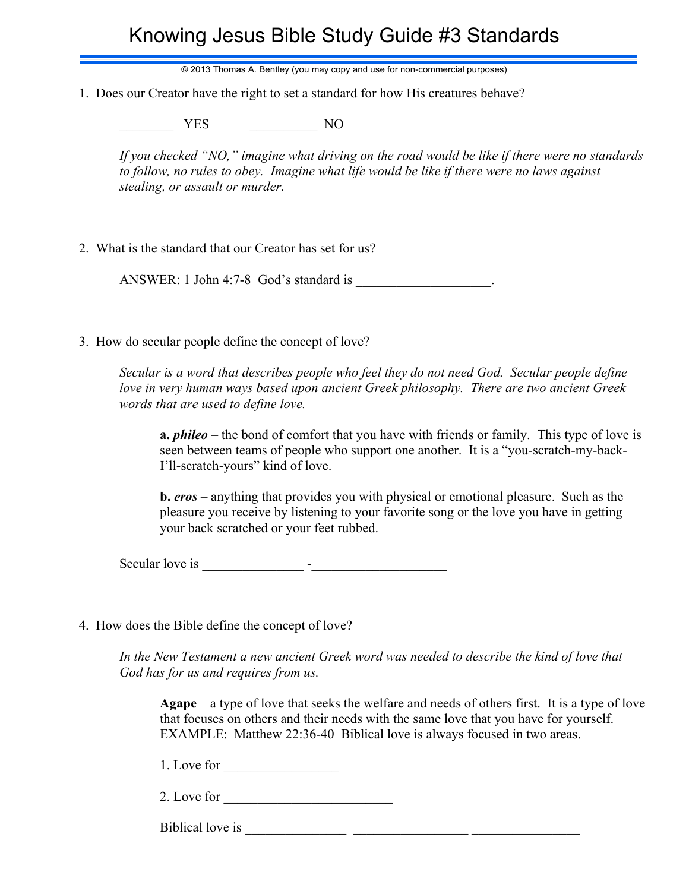## Knowing Jesus Bible Study Guide #3 Standards

© 2013 Thomas A. Bentley (you may copy and use for non-commercial purposes)

1. Does our Creator have the right to set a standard for how His creatures behave?

YES NO

*If you checked "NO," imagine what driving on the road would be like if there were no standards to follow, no rules to obey. Imagine what life would be like if there were no laws against stealing, or assault or murder.*

2. What is the standard that our Creator has set for us?

ANSWER: 1 John 4:7-8 God's standard is

3. How do secular people define the concept of love?

*Secular is a word that describes people who feel they do not need God. Secular people define love in very human ways based upon ancient Greek philosophy. There are two ancient Greek words that are used to define love.*

**a.** *phileo* – the bond of comfort that you have with friends or family. This type of love is seen between teams of people who support one another. It is a "you-scratch-my-back-I'll-scratch-yours" kind of love.

**b.** *eros* – anything that provides you with physical or emotional pleasure. Such as the pleasure you receive by listening to your favorite song or the love you have in getting your back scratched or your feet rubbed.

Secular love is  $\overline{\phantom{a}}$ 

4. How does the Bible define the concept of love?

*In the New Testament a new ancient Greek word was needed to describe the kind of love that God has for us and requires from us.*

**Agape** – a type of love that seeks the welfare and needs of others first. It is a type of love that focuses on others and their needs with the same love that you have for yourself. EXAMPLE: Matthew 22:36-40 Biblical love is always focused in two areas.

1. Love for

2. Love for \_\_\_\_\_\_\_\_\_\_\_\_\_\_\_\_\_\_\_\_\_\_\_\_\_

Biblical love is \_\_\_\_\_\_\_\_\_\_\_\_\_\_\_ \_\_\_\_\_\_\_\_\_\_\_\_\_\_\_\_\_ \_\_\_\_\_\_\_\_\_\_\_\_\_\_\_\_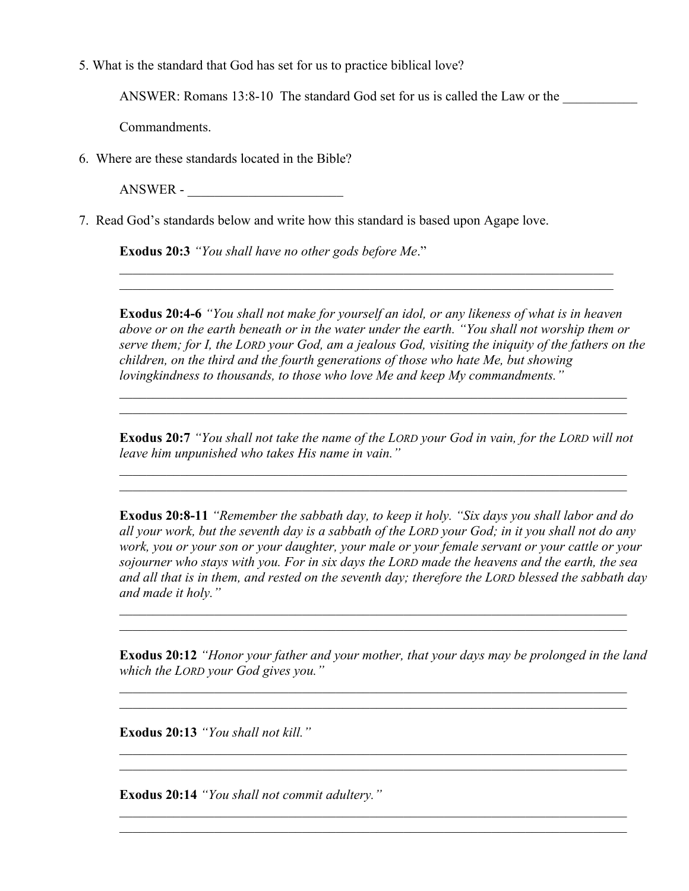5. What is the standard that God has set for us to practice biblical love?

ANSWER: Romans  $13:8-10$  The standard God set for us is called the Law or the

Commandments.

6. Where are these standards located in the Bible?

ANSWER -

7. Read God's standards below and write how this standard is based upon Agape love.

**Exodus 20:3** *"You shall have no other gods before Me*."

**Exodus 20:4-6** *"You shall not make for yourself an idol, or any likeness of what is in heaven above or on the earth beneath or in the water under the earth. "You shall not worship them or serve them; for I, the LORD your God, am a jealous God, visiting the iniquity of the fathers on the children, on the third and the fourth generations of those who hate Me, but showing lovingkindness to thousands, to those who love Me and keep My commandments."*

 $\_$ 

**Exodus 20:7** *"You shall not take the name of the LORD your God in vain, for the LORD will not leave him unpunished who takes His name in vain."*

\_\_\_\_\_\_\_\_\_\_\_\_\_\_\_\_\_\_\_\_\_\_\_\_\_\_\_\_\_\_\_\_\_\_\_\_\_\_\_\_\_\_\_\_\_\_\_\_\_\_\_\_\_\_\_\_\_\_\_\_\_\_\_\_\_\_\_\_\_\_\_\_\_\_\_

\_\_\_\_\_\_\_\_\_\_\_\_\_\_\_\_\_\_\_\_\_\_\_\_\_\_\_\_\_\_\_\_\_\_\_\_\_\_\_\_\_\_\_\_\_\_\_\_\_\_\_\_\_\_\_\_\_\_\_\_\_\_\_\_\_\_\_\_\_\_\_\_\_\_\_

**Exodus 20:8-11** *"Remember the sabbath day, to keep it holy. "Six days you shall labor and do all your work, but the seventh day is a sabbath of the LORD your God; in it you shall not do any work, you or your son or your daughter, your male or your female servant or your cattle or your sojourner who stays with you. For in six days the LORD made the heavens and the earth, the sea and all that is in them, and rested on the seventh day; therefore the LORD blessed the sabbath day and made it holy."*

\_\_\_\_\_\_\_\_\_\_\_\_\_\_\_\_\_\_\_\_\_\_\_\_\_\_\_\_\_\_\_\_\_\_\_\_\_\_\_\_\_\_\_\_\_\_\_\_\_\_\_\_\_\_\_\_\_\_\_\_\_\_\_\_\_\_\_\_\_\_\_\_\_\_\_ \_\_\_\_\_\_\_\_\_\_\_\_\_\_\_\_\_\_\_\_\_\_\_\_\_\_\_\_\_\_\_\_\_\_\_\_\_\_\_\_\_\_\_\_\_\_\_\_\_\_\_\_\_\_\_\_\_\_\_\_\_\_\_\_\_\_\_\_\_\_\_\_\_\_\_

**Exodus 20:12** *"Honor your father and your mother, that your days may be prolonged in the land which the LORD your God gives you."*

\_\_\_\_\_\_\_\_\_\_\_\_\_\_\_\_\_\_\_\_\_\_\_\_\_\_\_\_\_\_\_\_\_\_\_\_\_\_\_\_\_\_\_\_\_\_\_\_\_\_\_\_\_\_\_\_\_\_\_\_\_\_\_\_\_\_\_\_\_\_\_\_\_\_\_ \_\_\_\_\_\_\_\_\_\_\_\_\_\_\_\_\_\_\_\_\_\_\_\_\_\_\_\_\_\_\_\_\_\_\_\_\_\_\_\_\_\_\_\_\_\_\_\_\_\_\_\_\_\_\_\_\_\_\_\_\_\_\_\_\_\_\_\_\_\_\_\_\_\_\_

\_\_\_\_\_\_\_\_\_\_\_\_\_\_\_\_\_\_\_\_\_\_\_\_\_\_\_\_\_\_\_\_\_\_\_\_\_\_\_\_\_\_\_\_\_\_\_\_\_\_\_\_\_\_\_\_\_\_\_\_\_\_\_\_\_\_\_\_\_\_\_\_\_\_\_

\_\_\_\_\_\_\_\_\_\_\_\_\_\_\_\_\_\_\_\_\_\_\_\_\_\_\_\_\_\_\_\_\_\_\_\_\_\_\_\_\_\_\_\_\_\_\_\_\_\_\_\_\_\_\_\_\_\_\_\_\_\_\_\_\_\_\_\_\_\_\_\_\_\_\_ \_\_\_\_\_\_\_\_\_\_\_\_\_\_\_\_\_\_\_\_\_\_\_\_\_\_\_\_\_\_\_\_\_\_\_\_\_\_\_\_\_\_\_\_\_\_\_\_\_\_\_\_\_\_\_\_\_\_\_\_\_\_\_\_\_\_\_\_\_\_\_\_\_\_\_

**Exodus 20:13** *"You shall not kill."*

**Exodus 20:14** *"You shall not commit adultery."*